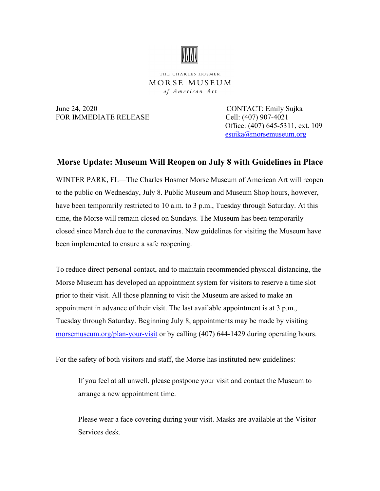

THE CHARLES HOSMER MORSE MUSEUM of American Art

June 24, 2020 CONTACT: Emily Sujka FOR IMMEDIATE RELEASE Cell: (407) 907-4021

 Office: (407) 645-5311, ext. 109 [esujka@morsemuseum.org](mailto:esujka@morsemuseum.org)

## **Morse Update: Museum Will Reopen on July 8 with Guidelines in Place**

WINTER PARK, FL—The Charles Hosmer Morse Museum of American Art will reopen to the public on Wednesday, July 8. Public Museum and Museum Shop hours, however, have been temporarily restricted to 10 a.m. to 3 p.m., Tuesday through Saturday. At this time, the Morse will remain closed on Sundays. The Museum has been temporarily closed since March due to the coronavirus. New guidelines for visiting the Museum have been implemented to ensure a safe reopening.

To reduce direct personal contact, and to maintain recommended physical distancing, the Morse Museum has developed an appointment system for visitors to reserve a time slot prior to their visit. All those planning to visit the Museum are asked to make an appointment in advance of their visit. The last available appointment is at 3 p.m., Tuesday through Saturday. Beginning July 8, appointments may be made by visiting [morsemuseum.org/plan-your-visit](http://www.morsemuseum.org/plan-your-visit) or by calling (407) 644-1429 during operating hours.

For the safety of both visitors and staff, the Morse has instituted new guidelines:

If you feel at all unwell, please postpone your visit and contact the Museum to arrange a new appointment time.

Please wear a face covering during your visit. Masks are available at the Visitor Services desk.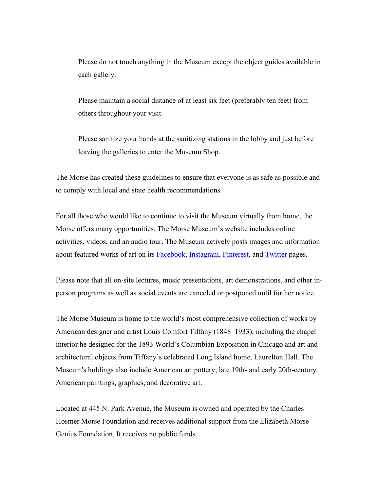Please do not touch anything in the Museum except the object guides available in each gallery.

Please maintain a social distance of at least six feet (preferably ten feet) from others throughout your visit.

Please sanitize your hands at the sanitizing stations in the lobby and just before leaving the galleries to enter the Museum Shop.

The Morse has created these guidelines to ensure that everyone is as safe as possible and to comply with local and state health recommendations.

For all those who would like to continue to visit the Museum virtually from home, the Morse offers many opportunities. The Morse Museum's website includes online activities, videos, and an audio tour. The Museum actively posts images and information about featured works of art on its [Facebook,](https://www.facebook.com/morsemuseum/) [Instagram,](https://www.instagram.com/morsemuseum/) [Pinterest,](https://www.pinterest.com/morsemuseum/) and [Twitter](https://twitter.com/MorseMuseum?ref_src=twsrc%255Egoogle%257Ctwcamp%255Eserp%257Ctwgr%255Eauthor) pages.

Please note that all on-site lectures, music presentations, art demonstrations, and other inperson programs as well as social events are canceled or postponed until further notice.

The Morse Museum is home to the world's most comprehensive collection of works by American designer and artist Louis Comfort Tiffany (1848–1933), including the chapel interior he designed for the 1893 World's Columbian Exposition in Chicago and art and architectural objects from Tiffany's celebrated Long Island home, Laurelton Hall. The Museum's holdings also include American art pottery, late 19th- and early 20th-century American paintings, graphics, and decorative art.

Located at 445 N. Park Avenue, the Museum is owned and operated by the Charles Hosmer Morse Foundation and receives additional support from the Elizabeth Morse Genius Foundation. It receives no public funds.